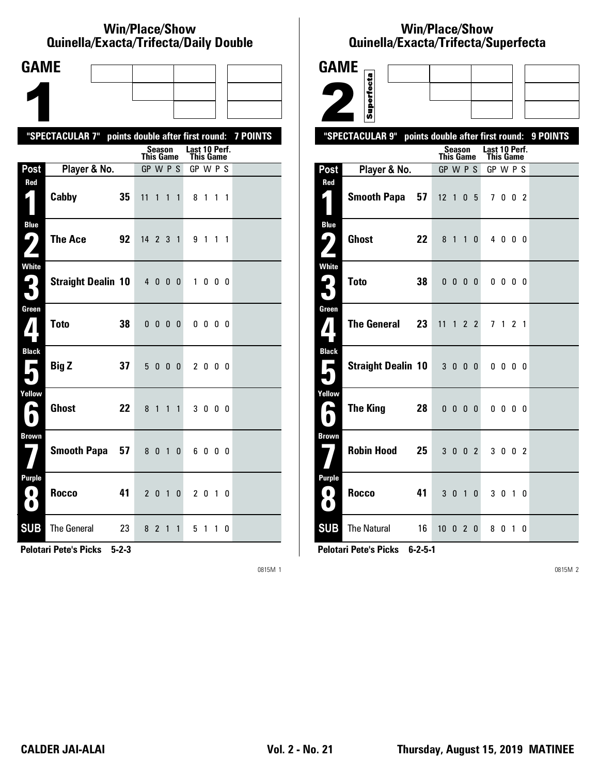#### **Win/Place/Show Qui nel la/Exacta/Tri fecta/Daily Dou ble**

| <b>GAME</b>                                     |                                                           |                            |                              |                            |           |  |
|-------------------------------------------------|-----------------------------------------------------------|----------------------------|------------------------------|----------------------------|-----------|--|
|                                                 |                                                           |                            |                              |                            |           |  |
|                                                 |                                                           |                            |                              |                            |           |  |
|                                                 | "SPECTACULAR 7" points double after first round: 7 POINTS |                            |                              |                            |           |  |
|                                                 |                                                           | Season<br><b>This Game</b> |                              | Last 10 Perf.<br>This Game |           |  |
| Post                                            | Player & No.                                              | GP W P S                   |                              | GP W P S                   |           |  |
| Red<br>$\vert \vert$                            | Cabby<br>35                                               | 11<br>$\mathbf{1}$         | $\mathbf{1}$<br>$\mathbf{1}$ | 8 1 1 1                    |           |  |
| <b>Blue</b><br>7<br>Z                           | The Ace<br>92                                             | 14 2 3 1                   |                              | 9 1 1 1                    |           |  |
| White<br>3                                      | <b>Straight Dealin 10</b>                                 | 4000                       |                              |                            | 1000      |  |
| Green<br>$\mathbf{Z}$                           | <b>Toto</b><br>38                                         | $0\ 0\ 0\ 0$               |                              |                            | 0000      |  |
| <b>Black</b><br>$\overline{\phantom{a}}$        | 37<br><b>Big Z</b>                                        | 5000                       |                              |                            | 2000      |  |
| Yellow<br>E                                     | <b>Ghost</b><br>22                                        | 8 1                        | $\mathbf{1}$<br>$\mathbf{1}$ |                            | 3 0 0 0   |  |
| <b>Brown</b>                                    | Smooth Papa 57                                            | 8 0 1                      | 0                            |                            | 6000      |  |
| <b>Purple</b><br>$\left( 0\right)$<br>$\bullet$ | <b>Rocco</b><br>41                                        | 2010                       |                              |                            | 2 0 1 0   |  |
| <b>SUB</b>                                      | <b>The General</b><br>23                                  | 8 2 1                      | $\mathbf{1}$                 | 51                         | $1\quad0$ |  |

**Pelotari Pete's Picks 5-2-3**

0815M 1

## **Win/Place/Show Qui nel la/Exacta/Tri fecta/Super fecta**

| <b>GAME</b>                 |                           |    |                                  |                               |                |                 |                       |                |    |          |
|-----------------------------|---------------------------|----|----------------------------------|-------------------------------|----------------|-----------------|-----------------------|----------------|----|----------|
|                             |                           |    |                                  |                               |                |                 |                       |                |    |          |
|                             | Superfecta                |    |                                  |                               |                |                 |                       |                |    |          |
|                             | "SPECTACULAR 9"           |    | points double after first round: |                               |                |                 |                       |                |    | 9 POINTS |
|                             |                           |    |                                  | Season                        |                |                 | Last 10 Perf.         |                |    |          |
| Post                        | Player & No.              |    | <b>This Game</b><br>GP W P S     |                               |                |                 | This Game<br>GP W P S |                |    |          |
| Red                         |                           |    |                                  |                               |                |                 |                       |                |    |          |
| $\mathsf{L}_\parallel$      | <b>Smooth Papa</b>        | 57 | 12 <sub>1</sub>                  |                               | 0 <sub>5</sub> |                 |                       | 7002           |    |          |
| <b>Blue</b><br>4            | <b>Ghost</b>              | 22 | 8 1                              |                               |                | $1\quad 0$      |                       | 4000           |    |          |
|                             |                           |    |                                  |                               |                |                 |                       |                |    |          |
| <b>White</b><br>5,          | <b>Toto</b>               | 38 |                                  |                               |                |                 |                       |                |    |          |
| ∫`                          |                           |    |                                  | $0\quad 0\quad 0\quad 0\quad$ |                |                 |                       | $0\,0\,0\,0$   |    |          |
| Green                       |                           |    |                                  |                               |                |                 |                       |                |    |          |
| $\bf{7}$                    | <b>The General</b>        | 23 | 11                               |                               |                | $1\quad2\quad2$ |                       | 7 1 2 1        |    |          |
| <b>Black</b>                |                           |    |                                  |                               |                |                 |                       |                |    |          |
| П                           | <b>Straight Dealin 10</b> |    |                                  | 3 0 0 0                       |                |                 |                       | $0\,0\,0\,0$   |    |          |
| Yellow                      |                           |    |                                  |                               |                |                 |                       |                |    |          |
| یم                          | <b>The King</b>           | 28 |                                  | $0\quad 0\quad 0\quad 0$      |                |                 |                       | $0\,0\,0\,0$   |    |          |
| <b>Brown</b>                |                           |    |                                  |                               |                |                 |                       |                |    |          |
|                             | <b>Robin Hood</b>         | 25 |                                  | 3 0 0 2                       |                |                 |                       | 3 0 0 2        |    |          |
| <b>Purple</b>               |                           |    |                                  |                               |                |                 |                       |                |    |          |
| $\blacksquare$<br>$\bullet$ | <b>Rocco</b>              | 41 |                                  | 3 0 1                         |                | $\mathbf{0}$    |                       | 3 <sub>0</sub> | 10 |          |
| <b>SUB</b>                  | <b>The Natural</b>        | 16 | 10020                            |                               |                |                 |                       | 8010           |    |          |

**Pelotari Pete's Picks 6-2-5-1**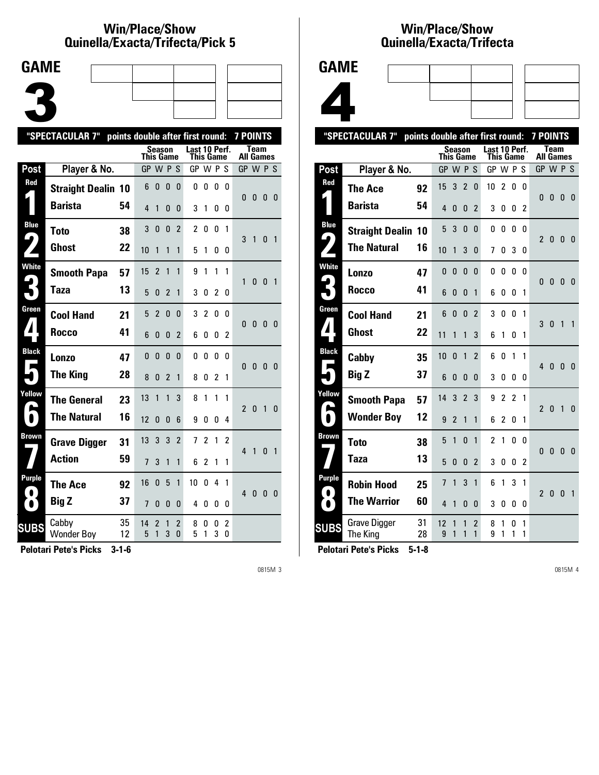### **Win/Place/Show Qui nel la/Exacta/Tri fecta/Pick 5**



|                  | "SPECTACULAR 7"            |          | points double after first round: |                     |                |                     |                            |                |        |                              | <b>7 POINTS</b> |                |              |                |
|------------------|----------------------------|----------|----------------------------------|---------------------|----------------|---------------------|----------------------------|----------------|--------|------------------------------|-----------------|----------------|--------------|----------------|
|                  |                            |          | This Game                        |                     | <b>Season</b>  |                     | Last 10 Perf.<br>This Game |                |        |                              | All Games       | <b>Team</b>    |              |                |
| Post             | Player & No.               |          | GP W P S                         |                     |                |                     | GP W P S                   |                |        |                              | GP W P S        |                |              |                |
| Red              | <b>Straight Dealin 10</b>  |          | 6                                | 0                   | 0              | 0                   | 0                          | 0              | 0      | $\Omega$                     | U               | $\mathbf{0}$   | $\Omega$     | - 0            |
|                  | <b>Barista</b>             | 54       | 4                                | 1                   | 0              | 0                   | 3                          | 1              | 0      | 0                            |                 |                |              |                |
| <b>Blue</b>      | <b>Toto</b>                | 38       | 3                                | $\mathbf{0}$        | $\mathbf{0}$   | $\overline{2}$      | $\overline{c}$             | 0              | 0      | $\mathbf{1}$                 |                 |                |              |                |
| ✔,               | <b>Ghost</b>               | 22       | 10                               | 1                   | 1              | 1                   | 5                          | 1              | 0      | 0                            | 3               | $\overline{1}$ | 0            | $\overline{1}$ |
| <b>White</b>     | <b>Smooth Papa</b>         | 57       | 15                               | $\overline{2}$      | 1              | 1                   | 9                          | 1              | 1      | 1                            |                 |                |              |                |
|                  | Taza                       | 13       | 5                                | 0                   | $\overline{2}$ | $\mathbf{1}$        | 3                          | 0              | 2      | 0                            | 1               | $\mathbf{0}$   | $\Omega$     | $\overline{1}$ |
| Green            | <b>Cool Hand</b>           | 21       | 5                                | $\overline{2}$      | 0              | 0                   | 3                          | 2              | 0      | $\Omega$                     | $\Omega$        | $\mathbf{0}$   | $\mathbf{0}$ |                |
| $\boldsymbol{I}$ | <b>Rocco</b>               | 41       | 6                                | $\mathbf{0}$        | 0              | 2                   | 6                          | 0              | 0      | 2                            |                 |                |              | - 0            |
| <b>Black</b>     | Lonzo                      | 47       | 0                                | $\mathbf{0}$        | $\mathbf{0}$   | 0                   | 0                          | 0              | 0      | n                            |                 |                |              |                |
|                  | <b>The King</b>            | 28       | 8                                | 0                   | 2              | 1                   | 8                          | 0              | 2      | $\mathbf{1}$                 | 0               | $\mathbf{0}$   | $\mathbf{0}$ | - 0            |
| Yellow           | <b>The General</b>         | 23       | 13                               | 1                   | 1              | 3                   | 8                          | 1              | 1      | 1                            |                 |                |              |                |
| 5                | <b>The Natural</b>         | 16       | 12                               | 0                   | 0              | 6                   | 9                          | 0              | 0      | 4                            | $\overline{2}$  | $\bf{0}$       | $\mathbf{1}$ | $\Omega$       |
| Brown            | <b>Grave Digger</b>        | 31       | 13                               | 3                   | 3              | 2                   | $\overline{1}$             | $\overline{2}$ | 1      | 2                            | $\overline{4}$  |                |              |                |
|                  | <b>Action</b>              | 59       | $\overline{7}$                   | 3                   | 1              | 1                   | 6                          | 2              | 1      | 1                            |                 | 1              | 0            | $\overline{1}$ |
| Purple           | <b>The Ace</b>             | 92       | 16                               | 0                   | 5              | 1                   | 10                         | 0              | 4      | 1                            |                 |                |              |                |
| n                | <b>Big Z</b>               | 37       | 7                                | 0                   | 0              | 0                   | 4                          | 0              | 0      | 0                            | 4               | $\bf{0}$       | $\mathbf{0}$ | - 0            |
| <b>SUBS</b>      | Cabby<br><b>Wonder Boy</b> | 35<br>12 | 14<br>5                          | $\overline{2}$<br>1 | 1<br>3         | $\overline{2}$<br>0 | 8<br>5                     | 0<br>1         | 0<br>3 | $\mathbf{2}$<br>$\mathbf{0}$ |                 |                |              |                |
|                  |                            |          |                                  |                     |                |                     |                            |                |        |                              |                 |                |              |                |

**Pelotari Pete's Picks 3-1-6**

0815M 3

# **Win/Place/Show Qui nel la/Exacta/Tri fecta**



|                   | "SPECTACULAR 7"                 | points double after first round: |                  |                |                |                                |                            |                |                |          | <b>7 POINTS</b> |              |                |                |
|-------------------|---------------------------------|----------------------------------|------------------|----------------|----------------|--------------------------------|----------------------------|----------------|----------------|----------|-----------------|--------------|----------------|----------------|
|                   |                                 |                                  | <b>This Game</b> | Season         |                |                                | Last 10 Perf.<br>This Game |                |                |          | All Games       | <b>Team</b>  |                |                |
| Post              | Player & No.                    |                                  | GP W P S         |                |                |                                | GP W P S                   |                |                |          | GP W P S        |              |                |                |
| Red               | The Ace                         | 92                               | 15               | 3              | $\overline{2}$ | 0                              | 10                         | 2              | $\mathbf{0}$   | 0        | $\Omega$        | $\mathbf{0}$ | $\mathbf{0}$   | $\overline{0}$ |
|                   | <b>Barista</b>                  | 54                               | 4                | 0              | 0              | $\overline{2}$                 | 3                          | 0              | 0              | 2        |                 |              |                |                |
| <b>Blue</b><br>9  | <b>Straight Dealin 10</b>       |                                  | 5                | 3              | $\mathbf{0}$   | $\Omega$                       | 0                          | 0              | $\mathbf{0}$   | $\Omega$ | $\overline{2}$  | 0            | 0              | -0             |
|                   | <b>The Natural</b>              | 16                               | 10               | 1              | 3              | 0                              | 7                          | 0              | 3              | 0        |                 |              |                |                |
| White             | Lonzo                           | 47                               | 0                | 0              | 0              | 0                              | 0                          | 0              | 0              | 0        | 0               | $\bf{0}$     | $\mathbf{0}$   | - 0            |
|                   | Rocco                           | 41                               | 6                | 0              | 0              | 1                              | 6                          | 0              | 0              | 1        |                 |              |                |                |
| Green             | <b>Cool Hand</b>                | 21                               | 6                | $\Omega$       | 0              | $\overline{2}$                 | 3                          | 0              | $\Omega$       | 1        | 3               | 0            | 1              | $\mathbf{1}$   |
| $\blacktriangle$  | Ghost                           | 22                               | 11               | 1              | 1              | 3                              | 6                          | 1              | 0              | 1        |                 |              |                |                |
| <b>Black</b><br>Г | Cabby                           | 35                               | 10               | 0              | 1              | $\overline{2}$                 | 6                          | 0              | 1              | 1        | $\overline{4}$  | $\mathbf{0}$ | $\mathbf{0}$   | $\mathbf{0}$   |
|                   | <b>Big Z</b>                    | 37                               | 6                | 0              | 0              | $\Omega$                       | 3                          | 0              | 0              | 0        |                 |              |                |                |
| Yellow            | <b>Smooth Papa</b>              | 57                               | 14               | 3              | $\overline{2}$ | 3                              | 9                          | $\overline{c}$ | $\overline{2}$ | 1        | $\mathfrak{p}$  | $\mathbf{0}$ | $\overline{1}$ | $\mathbf{0}$   |
| $\blacksquare$    | <b>Wonder Boy</b>               | 12                               | 9                | $\overline{2}$ | 1              | 1                              | 6                          | 2              | 0              | 1        |                 |              |                |                |
| <b>Brown</b>      | <b>Toto</b>                     | 38                               | 5                | 1              | $\Omega$       | 1                              | $\mathfrak{p}$             | 1              | $\Omega$       | $\Omega$ | $\mathbf{0}$    | 0            | $\mathbf{0}$   | 0              |
|                   | Taza                            | 13                               | 5                | 0              | 0              | $\overline{2}$                 | 3                          | 0              | 0              | 2        |                 |              |                |                |
| <b>Purple</b>     | <b>Robin Hood</b>               | 25                               | 7                | 1              | 3              | 1                              | 6                          | 1              | 3              | 1        | $\overline{2}$  | 0            | $\mathbf{0}$   | $\overline{1}$ |
| $\bullet$         | <b>The Warrior</b>              | 60                               | 4                | 1              | 0              | 0                              | 3                          | 0              | 0              | 0        |                 |              |                |                |
| <b>SUBS</b>       | <b>Grave Digger</b><br>The King | 31<br>28                         | 12<br>9          | 1<br>1         | 1<br>1         | $\overline{2}$<br>$\mathbf{1}$ | 8<br>9                     | 1<br>1         | 0<br>1         | 1<br>1   |                 |              |                |                |
|                   |                                 |                                  |                  |                |                |                                |                            |                |                |          |                 |              |                |                |

**Pelotari Pete's Picks 5-1-8**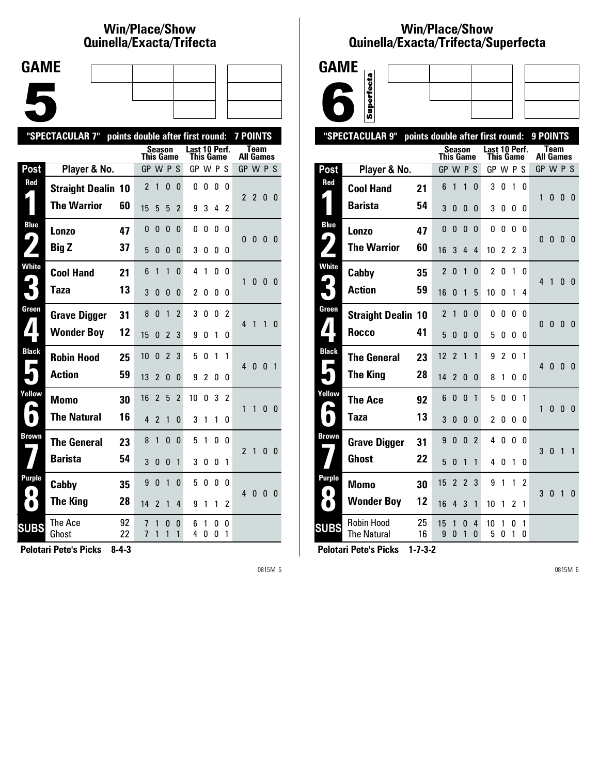## **Win/Place/Show Qui nel la/Exacta/Tri fecta**



|              | "SPECTACULAR 7"           | points double after first round: |                |                |                |                |                            |               |        |        | <b>7 POINTS</b>  |                |                |                |
|--------------|---------------------------|----------------------------------|----------------|----------------|----------------|----------------|----------------------------|---------------|--------|--------|------------------|----------------|----------------|----------------|
|              |                           |                                  | This Game      |                | <b>Season</b>  |                | Last 10 Perf.<br>This Game |               |        |        | <b>All Games</b> | <b>Team</b>    |                |                |
| Post         | Player & No.              |                                  | GP W P S       |                |                |                | GP W P S                   |               |        |        | GP W P S         |                |                |                |
| Red          | <b>Straight Dealin 10</b> |                                  | $\overline{2}$ | 1              | 0              | 0              | 0                          | 0             | 0      | 0      | $\overline{2}$   | $\overline{2}$ |                |                |
|              | <b>The Warrior</b>        | 60                               | 15             | 5              | 5              | $\overline{2}$ | 9                          | 3             | 4      | 2      |                  |                | 0 <sub>0</sub> |                |
| <b>Blue</b>  | Lonzo                     | 47                               | $\Omega$       | $\mathbf{0}$   | 0              | 0              | 0                          | 0             | 0      | 0      | $\Omega$         | $\mathbf{0}$   | $\bf{0}$       | - 0            |
|              | <b>Big Z</b>              | 37                               | 5              | 0              | 0              | 0              | 3                          | 0             | 0      | 0      |                  |                |                |                |
| <b>White</b> | <b>Cool Hand</b>          | 21                               | 6              | 1              | 1              | 0              | 4                          | 1             | 0      | 0      | 1                | 0              | 0 <sub>0</sub> |                |
|              | Taza                      | 13                               | 3              | 0              | 0              | 0              | 2                          | 0             | 0      | 0      |                  |                |                |                |
| Green        | <b>Grave Digger</b>       | 31                               | 8              | $\Omega$       | 1              | $\overline{2}$ | 3                          | 0             | 0      | 2      | 4                | 1              | 1              | $\Omega$       |
|              | <b>Wonder Boy</b>         | 12                               | 15             | U              | 2              | 3              | 9                          | 0             | 1      | 0      |                  |                |                |                |
| <b>Black</b> | <b>Robin Hood</b>         | 25                               | 10             | $\mathbf{0}$   | $\overline{2}$ | 3              | 5                          | 0             | 1      | 1      | 4                | 0              | $\mathbf{0}$   | $\overline{1}$ |
|              | <b>Action</b>             | 59                               | 13             | 2              | $\mathbf{0}$   | 0              | 9                          | $\mathfrak z$ | 0      | 0      |                  |                |                |                |
| Yellow       | <b>Momo</b>               | 30                               | 16             | $\overline{2}$ | 5              | $\overline{2}$ | 10                         | 0             | 3      | 2      | 1                | 1              | 0              | - 0            |
| $\bullet$    | <b>The Natural</b>        | 16                               | 4              | $\overline{2}$ | 1              | 0              | 3                          | 1             | 1      | 0      |                  |                |                |                |
| <b>Brown</b> | <b>The General</b>        | 23                               | 8              | 1              | 0              | 0              | 5                          | 1             | 0      | 0      | $\mathfrak z$    | 1              | 0              | - 0            |
|              | <b>Barista</b>            | 54                               | 3              | $\mathbf{0}$   | 0              | 1              | 3                          | 0             | 0      | 1      |                  |                |                |                |
| Purple       | Cabby                     | 35                               | 9              | $\mathbf{0}$   | $\mathbf{1}$   | 0              | 5                          | 0             | 0      | 0      | 4                | $\mathbf{0}$   | $\bf{0}$       | - 0            |
|              | <b>The King</b>           | 28                               | 14             | 2              | 1              | 4              | 9                          | 1             | 1      | 2      |                  |                |                |                |
| <b>SUBS</b>  | The Ace<br>Ghost          | 92<br>22                         | 7<br>7         | 1<br>1         | 0<br>1         | 0<br>1         | 6<br>4                     | 1<br>0        | 0<br>0 | 0<br>1 |                  |                |                |                |
|              |                           |                                  |                |                |                |                |                            |               |        |        |                  |                |                |                |

**Pelotari Pete's Picks 8-4-3**

0815M 5

### **Win/Place/Show Qui nel la/Exacta/Tri fecta/Super fecta**



|                          | "SPECTACULAR 9"                  |          | points double after first round: |                |                |                |                |                |                |                | 9 POINTS       |                          |                |              |
|--------------------------|----------------------------------|----------|----------------------------------|----------------|----------------|----------------|----------------|----------------|----------------|----------------|----------------|--------------------------|----------------|--------------|
|                          |                                  |          | <b>This Game</b>                 | <b>Season</b>  |                |                | Last 10 Perf.  | This Game      |                |                |                | Team<br><b>All Games</b> |                |              |
| Post                     | Player & No.                     |          | GP W P S                         |                |                |                | GP W P S       |                |                |                | GP W P S       |                          |                |              |
| Red                      | <b>Cool Hand</b>                 | 21       | 6                                | 1              | 1              | $\mathbf{0}$   | 3              | 0              | 1              | 0              | 1              | 0                        | 0              |              |
|                          | <b>Barista</b>                   | 54       | 3                                | 0              | 0              | 0              | 3              | 0              | 0              | 0              |                |                          |                | - 0          |
| <b>Blue</b>              | Lonzo                            | 47       | $\mathbf{0}$                     | 0              | $\mathbf{0}$   | $\mathbf{0}$   | 0              | 0              | 0              | 0              |                |                          |                |              |
| 4                        | <b>The Warrior</b>               | 60       | 16                               | 3              | $\overline{4}$ | $\overline{4}$ | 10             | 2              | $\mathfrak z$  | 3              | 0              | 0                        | $\overline{0}$ | - 0          |
| <b>White</b>             | Cabby                            | 35       | $\overline{2}$                   | 0              | 1              | $\mathbf{0}$   | $\overline{c}$ | 0              | 1              | 0              | 4              | 1                        | 0              | 0            |
| $\boldsymbol{\varsigma}$ | <b>Action</b>                    | 59       | 16                               | 0              | 1              | 5              | 10             | O              | 1              | 4              |                |                          |                |              |
| Green                    | <b>Straight Dealin 10</b>        |          | $\overline{\phantom{a}}$         | $\mathbf{1}$   | $\mathbf{0}$   | $\Omega$       | 0              | 0              | 0              | U              | $\mathbf{0}$   | $\mathbf{0}$             | 0              | 0            |
| $\boldsymbol{I}$         | Rocco                            | 41       | 5                                | 0              | 0              | 0              | 5              | 0              | 0              | 0              |                |                          |                |              |
| <b>Black</b><br>Е        | <b>The General</b>               | 23       | 12                               | $\overline{2}$ | 1              | 1              | 9              | $\overline{c}$ | 0              | 1              | $\overline{4}$ | $\pmb{0}$                | $\overline{0}$ | $\mathbf{0}$ |
|                          | <b>The King</b>                  | 28       | 14                               | $\overline{2}$ | $\Omega$       | 0              | 8              | 1              | 0              | 0              |                |                          |                |              |
| Yellow                   | <b>The Ace</b>                   | 92       | 6                                | 0              | $\mathbf{0}$   | 1              | 5              | 0              | 0              | 1              | 1              | 0                        | $\mathbf{0}$   | 0            |
|                          | Taza                             | 13       | 3                                | 0              | 0              | 0              | $\overline{c}$ | 0              | 0              | 0              |                |                          |                |              |
| Brown                    | <b>Grave Digger</b>              | 31       | 9                                | $\mathbf{0}$   | $\mathbf{0}$   | $\overline{2}$ | 4              | 0              | 0              | 0              | 3              | $\mathbf{0}$             | $\overline{1}$ | $\mathbf{1}$ |
|                          | Ghost                            | 22       | 5                                | 0              | 1              | 1              | 4              | 0              | 1              | 0              |                |                          |                |              |
| Purple<br>$\bullet$      | <b>Momo</b>                      | 30       | 15                               | $\overline{2}$ | $\overline{2}$ | 3              | 9              | 1              | 1              | $\overline{2}$ | 3              | $\pmb{0}$                | $\overline{1}$ | $\mathbf{0}$ |
| $\bullet$                | <b>Wonder Boy</b>                | 12       | 16                               | 4              | 3              | 1              | 10             | 1              | $\overline{2}$ | 1              |                |                          |                |              |
| <b>SUBS</b>              | Robin Hood<br><b>The Natural</b> | 25<br>16 | 15<br>9                          | 1<br>$\Omega$  | 0<br>1         | 4<br>0         | 10<br>5        | 1<br>0         | 0<br>1         | 1<br>0         |                |                          |                |              |
|                          |                                  |          |                                  |                |                |                |                |                |                |                |                |                          |                |              |

**Pelotari Pete's Picks 1-7-3-2**